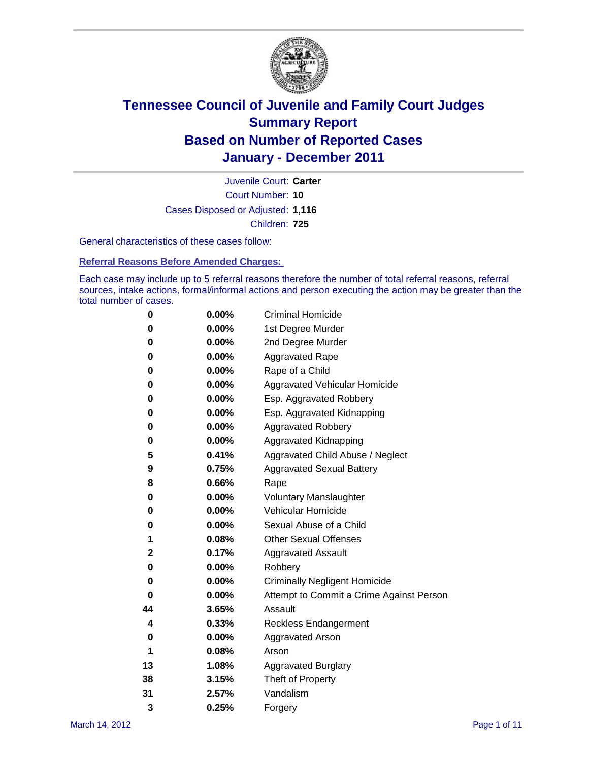

Court Number: **10** Juvenile Court: **Carter** Cases Disposed or Adjusted: **1,116** Children: **725**

General characteristics of these cases follow:

**Referral Reasons Before Amended Charges:** 

Each case may include up to 5 referral reasons therefore the number of total referral reasons, referral sources, intake actions, formal/informal actions and person executing the action may be greater than the total number of cases.

| 0  | 0.00% | <b>Criminal Homicide</b>                 |
|----|-------|------------------------------------------|
| 0  | 0.00% | 1st Degree Murder                        |
| 0  | 0.00% | 2nd Degree Murder                        |
| 0  | 0.00% | <b>Aggravated Rape</b>                   |
| 0  | 0.00% | Rape of a Child                          |
| 0  | 0.00% | Aggravated Vehicular Homicide            |
| 0  | 0.00% | Esp. Aggravated Robbery                  |
| 0  | 0.00% | Esp. Aggravated Kidnapping               |
| 0  | 0.00% | Aggravated Robbery                       |
| 0  | 0.00% | Aggravated Kidnapping                    |
| 5  | 0.41% | Aggravated Child Abuse / Neglect         |
| 9  | 0.75% | <b>Aggravated Sexual Battery</b>         |
| 8  | 0.66% | Rape                                     |
| 0  | 0.00% | <b>Voluntary Manslaughter</b>            |
| 0  | 0.00% | Vehicular Homicide                       |
| 0  | 0.00% | Sexual Abuse of a Child                  |
| 1  | 0.08% | <b>Other Sexual Offenses</b>             |
| 2  | 0.17% | <b>Aggravated Assault</b>                |
| 0  | 0.00% | Robbery                                  |
| 0  | 0.00% | <b>Criminally Negligent Homicide</b>     |
| 0  | 0.00% | Attempt to Commit a Crime Against Person |
| 44 | 3.65% | Assault                                  |
| 4  | 0.33% | <b>Reckless Endangerment</b>             |
| 0  | 0.00% | <b>Aggravated Arson</b>                  |
| 1  | 0.08% | Arson                                    |
| 13 | 1.08% | <b>Aggravated Burglary</b>               |
| 38 | 3.15% | Theft of Property                        |
| 31 | 2.57% | Vandalism                                |
| 3  | 0.25% | Forgery                                  |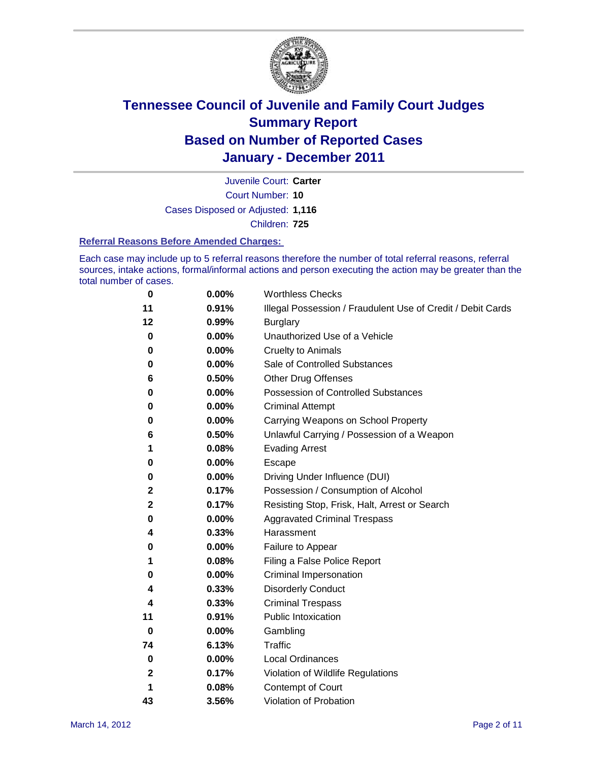

Court Number: **10** Juvenile Court: **Carter** Cases Disposed or Adjusted: **1,116** Children: **725**

#### **Referral Reasons Before Amended Charges:**

Each case may include up to 5 referral reasons therefore the number of total referral reasons, referral sources, intake actions, formal/informal actions and person executing the action may be greater than the total number of cases.

| $\bf{0}$ | 0.00% | <b>Worthless Checks</b>                                     |
|----------|-------|-------------------------------------------------------------|
| 11       | 0.91% | Illegal Possession / Fraudulent Use of Credit / Debit Cards |
| 12       | 0.99% | <b>Burglary</b>                                             |
| 0        | 0.00% | Unauthorized Use of a Vehicle                               |
| 0        | 0.00% | <b>Cruelty to Animals</b>                                   |
| 0        | 0.00% | Sale of Controlled Substances                               |
| 6        | 0.50% | <b>Other Drug Offenses</b>                                  |
| 0        | 0.00% | Possession of Controlled Substances                         |
| 0        | 0.00% | <b>Criminal Attempt</b>                                     |
| 0        | 0.00% | Carrying Weapons on School Property                         |
| 6        | 0.50% | Unlawful Carrying / Possession of a Weapon                  |
| 1        | 0.08% | <b>Evading Arrest</b>                                       |
| 0        | 0.00% | Escape                                                      |
| 0        | 0.00% | Driving Under Influence (DUI)                               |
| 2        | 0.17% | Possession / Consumption of Alcohol                         |
| 2        | 0.17% | Resisting Stop, Frisk, Halt, Arrest or Search               |
| 0        | 0.00% | <b>Aggravated Criminal Trespass</b>                         |
| 4        | 0.33% | Harassment                                                  |
| 0        | 0.00% | Failure to Appear                                           |
| 1        | 0.08% | Filing a False Police Report                                |
| 0        | 0.00% | Criminal Impersonation                                      |
| 4        | 0.33% | <b>Disorderly Conduct</b>                                   |
| 4        | 0.33% | <b>Criminal Trespass</b>                                    |
| 11       | 0.91% | <b>Public Intoxication</b>                                  |
| 0        | 0.00% | Gambling                                                    |
| 74       | 6.13% | <b>Traffic</b>                                              |
| 0        | 0.00% | <b>Local Ordinances</b>                                     |
| 2        | 0.17% | Violation of Wildlife Regulations                           |
| 1        | 0.08% | Contempt of Court                                           |
| 43       | 3.56% | Violation of Probation                                      |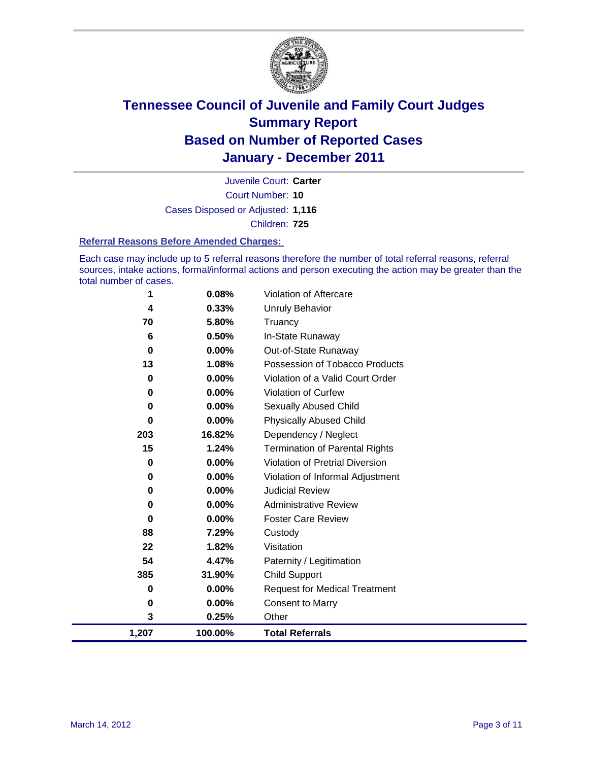

Court Number: **10** Juvenile Court: **Carter** Cases Disposed or Adjusted: **1,116** Children: **725**

#### **Referral Reasons Before Amended Charges:**

Each case may include up to 5 referral reasons therefore the number of total referral reasons, referral sources, intake actions, formal/informal actions and person executing the action may be greater than the total number of cases.

| 1                       | 0.08%    | Violation of Aftercare                 |
|-------------------------|----------|----------------------------------------|
| $\overline{\mathbf{4}}$ | 0.33%    | <b>Unruly Behavior</b>                 |
| 70                      | 5.80%    | Truancy                                |
| 6                       | 0.50%    | In-State Runaway                       |
| 0                       | 0.00%    | Out-of-State Runaway                   |
| 13                      | 1.08%    | Possession of Tobacco Products         |
| 0                       | 0.00%    | Violation of a Valid Court Order       |
| 0                       | 0.00%    | Violation of Curfew                    |
| 0                       | $0.00\%$ | <b>Sexually Abused Child</b>           |
| $\bf{0}$                | 0.00%    | <b>Physically Abused Child</b>         |
| 203                     | 16.82%   | Dependency / Neglect                   |
| 15                      | 1.24%    | Termination of Parental Rights         |
| 0                       | $0.00\%$ | <b>Violation of Pretrial Diversion</b> |
| 0                       | 0.00%    | Violation of Informal Adjustment       |
| 0                       | 0.00%    | <b>Judicial Review</b>                 |
| 0                       | 0.00%    | <b>Administrative Review</b>           |
| 0                       | 0.00%    | <b>Foster Care Review</b>              |
| 88                      | 7.29%    | Custody                                |
| 22                      | 1.82%    | Visitation                             |
| 54                      | 4.47%    | Paternity / Legitimation               |
| 385                     | 31.90%   | <b>Child Support</b>                   |
| 0                       | 0.00%    | <b>Request for Medical Treatment</b>   |
| 0                       | 0.00%    | <b>Consent to Marry</b>                |
| 3                       | 0.25%    | Other                                  |
| 1,207                   | 100.00%  | <b>Total Referrals</b>                 |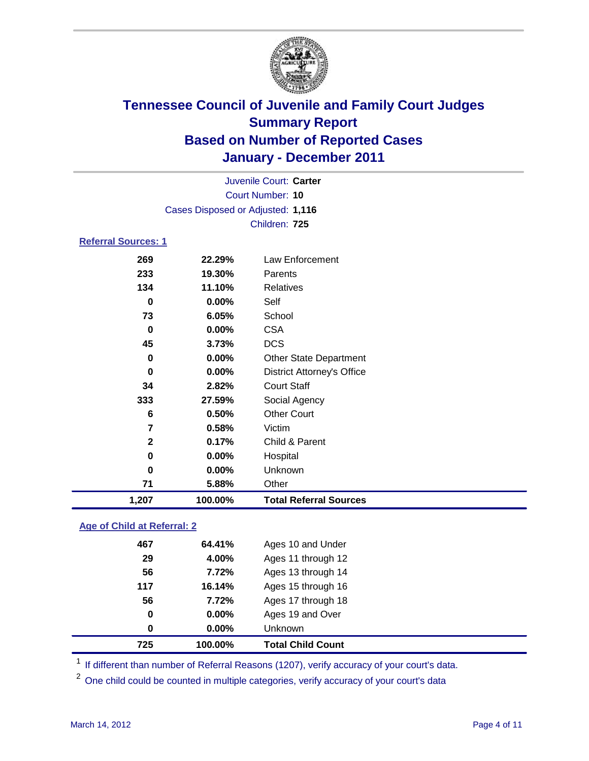

|                            |                                   | Juvenile Court: Carter            |
|----------------------------|-----------------------------------|-----------------------------------|
|                            |                                   | Court Number: 10                  |
|                            | Cases Disposed or Adjusted: 1,116 |                                   |
|                            |                                   | Children: 725                     |
| <b>Referral Sources: 1</b> |                                   |                                   |
| 269                        | 22.29%                            | Law Enforcement                   |
| 233                        | 19.30%                            | Parents                           |
| 134                        | 11.10%                            | <b>Relatives</b>                  |
| $\bf{0}$                   | 0.00%                             | Self                              |
| 73                         | 6.05%                             | School                            |
| $\bf{0}$                   | 0.00%                             | <b>CSA</b>                        |
| 45                         | 3.73%                             | <b>DCS</b>                        |
| 0                          | 0.00%                             | <b>Other State Department</b>     |
| 0                          | 0.00%                             | <b>District Attorney's Office</b> |
| 34                         | 2.82%                             | <b>Court Staff</b>                |
| 333                        | 27.59%                            | Social Agency                     |
| 6                          | 0.50%                             | <b>Other Court</b>                |
| $\overline{7}$             | 0.58%                             | Victim                            |
| $\mathbf{2}$               | 0.17%                             | Child & Parent                    |
| 0                          | 0.00%                             | Hospital                          |
| 0                          | 0.00%                             | Unknown                           |
| 71                         | 5.88%                             | Other                             |
| 1,207                      | 100.00%                           | <b>Total Referral Sources</b>     |

### **Age of Child at Referral: 2**

| $\bf{0}$ | 0.00%  | <b>Unknown</b>     |
|----------|--------|--------------------|
| 0        | 0.00%  | Ages 19 and Over   |
| 56       | 7.72%  | Ages 17 through 18 |
| 117      | 16.14% | Ages 15 through 16 |
| 56       | 7.72%  | Ages 13 through 14 |
| 29       | 4.00%  | Ages 11 through 12 |
| 467      | 64.41% | Ages 10 and Under  |
|          |        |                    |

<sup>1</sup> If different than number of Referral Reasons (1207), verify accuracy of your court's data.

<sup>2</sup> One child could be counted in multiple categories, verify accuracy of your court's data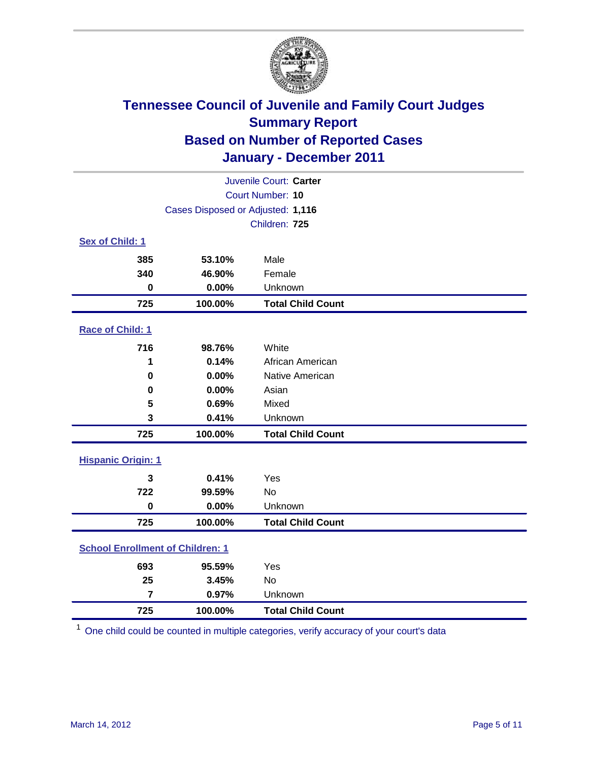

| Juvenile Court: Carter                  |                                   |                          |  |  |  |
|-----------------------------------------|-----------------------------------|--------------------------|--|--|--|
|                                         | <b>Court Number: 10</b>           |                          |  |  |  |
|                                         | Cases Disposed or Adjusted: 1,116 |                          |  |  |  |
|                                         |                                   | Children: 725            |  |  |  |
| Sex of Child: 1                         |                                   |                          |  |  |  |
| 385                                     | 53.10%                            | Male                     |  |  |  |
| 340                                     | 46.90%                            | Female                   |  |  |  |
| $\bf{0}$                                | 0.00%                             | Unknown                  |  |  |  |
| 725                                     | 100.00%                           | <b>Total Child Count</b> |  |  |  |
| Race of Child: 1                        |                                   |                          |  |  |  |
| 716                                     | 98.76%                            | White                    |  |  |  |
| 1                                       | 0.14%                             | African American         |  |  |  |
| 0                                       | 0.00%                             | Native American          |  |  |  |
| 0                                       | 0.00%                             | Asian                    |  |  |  |
| 5                                       | 0.69%                             | Mixed                    |  |  |  |
| 3                                       | 0.41%                             | Unknown                  |  |  |  |
| 725                                     | 100.00%                           | <b>Total Child Count</b> |  |  |  |
| <b>Hispanic Origin: 1</b>               |                                   |                          |  |  |  |
| 3                                       | 0.41%                             | Yes                      |  |  |  |
| 722                                     | 99.59%                            | <b>No</b>                |  |  |  |
| $\bf{0}$                                | 0.00%                             | Unknown                  |  |  |  |
| 725                                     | 100.00%                           | <b>Total Child Count</b> |  |  |  |
| <b>School Enrollment of Children: 1</b> |                                   |                          |  |  |  |
| 693                                     | 95.59%                            | Yes                      |  |  |  |
| 25                                      | 3.45%                             | No                       |  |  |  |
| $\overline{7}$                          | 0.97%                             | Unknown                  |  |  |  |
| 725                                     | 100.00%                           | <b>Total Child Count</b> |  |  |  |

One child could be counted in multiple categories, verify accuracy of your court's data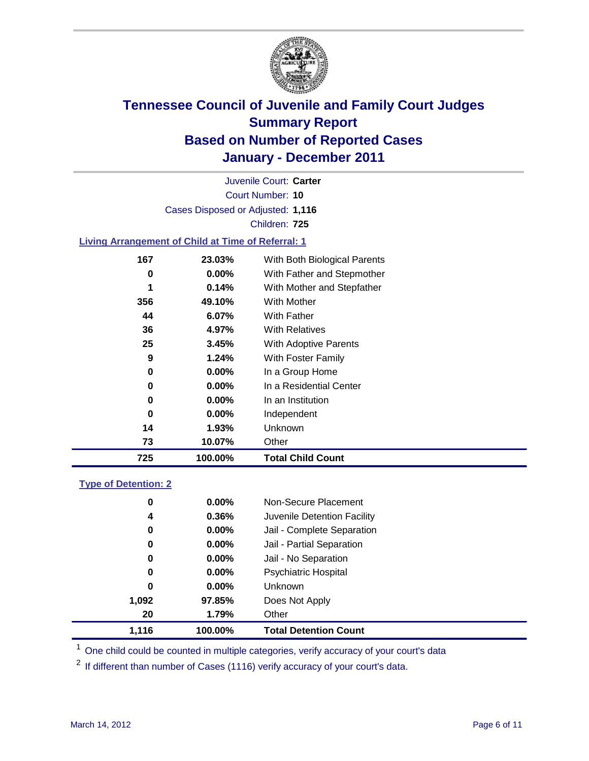

Court Number: **10** Juvenile Court: **Carter** Cases Disposed or Adjusted: **1,116** Children: **725**

### **Living Arrangement of Child at Time of Referral: 1**

| 725 | 100.00%  | <b>Total Child Count</b>     |  |
|-----|----------|------------------------------|--|
| 73  | 10.07%   | Other                        |  |
| 14  | 1.93%    | Unknown                      |  |
| 0   | $0.00\%$ | Independent                  |  |
| 0   | $0.00\%$ | In an Institution            |  |
| 0   | $0.00\%$ | In a Residential Center      |  |
| 0   | $0.00\%$ | In a Group Home              |  |
| 9   | 1.24%    | With Foster Family           |  |
| 25  | 3.45%    | With Adoptive Parents        |  |
| 36  | 4.97%    | <b>With Relatives</b>        |  |
| 44  | 6.07%    | <b>With Father</b>           |  |
| 356 | 49.10%   | <b>With Mother</b>           |  |
| 1   | 0.14%    | With Mother and Stepfather   |  |
| 0   | $0.00\%$ | With Father and Stepmother   |  |
| 167 | 23.03%   | With Both Biological Parents |  |
|     |          |                              |  |

#### **Type of Detention: 2**

| 1.116 | 100.00%  | <b>Total Detention Count</b> |  |
|-------|----------|------------------------------|--|
| 20    | 1.79%    | Other                        |  |
| 1,092 | 97.85%   | Does Not Apply               |  |
| 0     | $0.00\%$ | <b>Unknown</b>               |  |
| 0     | 0.00%    | <b>Psychiatric Hospital</b>  |  |
| 0     | 0.00%    | Jail - No Separation         |  |
| 0     | $0.00\%$ | Jail - Partial Separation    |  |
| 0     | $0.00\%$ | Jail - Complete Separation   |  |
| 4     | 0.36%    | Juvenile Detention Facility  |  |
| 0     | $0.00\%$ | Non-Secure Placement         |  |
|       |          |                              |  |

<sup>1</sup> One child could be counted in multiple categories, verify accuracy of your court's data

<sup>2</sup> If different than number of Cases (1116) verify accuracy of your court's data.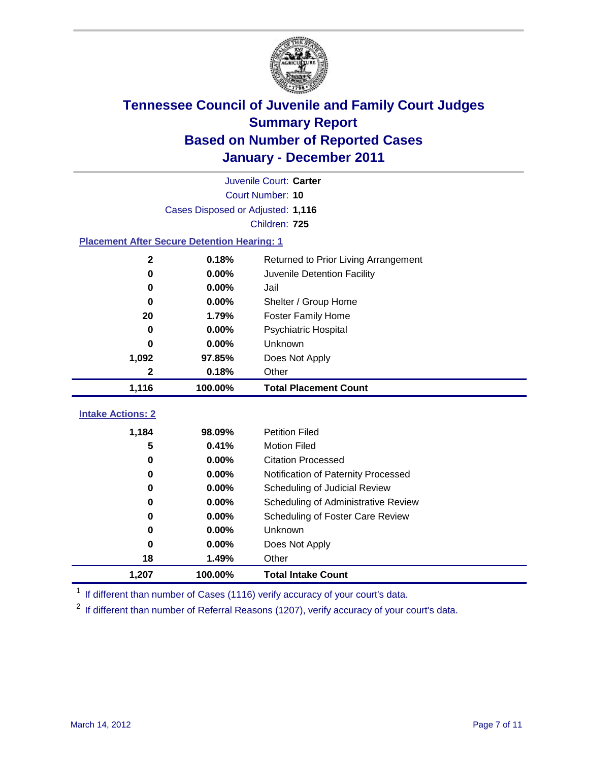

| Juvenile Court: Carter                             |                                   |                                      |  |  |  |
|----------------------------------------------------|-----------------------------------|--------------------------------------|--|--|--|
|                                                    | Court Number: 10                  |                                      |  |  |  |
|                                                    | Cases Disposed or Adjusted: 1,116 |                                      |  |  |  |
|                                                    |                                   | Children: 725                        |  |  |  |
| <b>Placement After Secure Detention Hearing: 1</b> |                                   |                                      |  |  |  |
| $\mathbf 2$                                        | 0.18%                             | Returned to Prior Living Arrangement |  |  |  |
| $\bf{0}$                                           | 0.00%                             | Juvenile Detention Facility          |  |  |  |
| $\bf{0}$                                           | 0.00%                             | Jail                                 |  |  |  |
| 0                                                  | 0.00%                             | Shelter / Group Home                 |  |  |  |
| 20                                                 | 1.79%                             | Foster Family Home                   |  |  |  |
| 0                                                  | 0.00%                             | Psychiatric Hospital                 |  |  |  |
| 0                                                  | 0.00%                             | Unknown                              |  |  |  |
| 1,092                                              | 97.85%                            | Does Not Apply                       |  |  |  |
| 2                                                  | 0.18%                             | Other                                |  |  |  |
| 1,116                                              | 100.00%                           | <b>Total Placement Count</b>         |  |  |  |
|                                                    |                                   |                                      |  |  |  |
| <b>Intake Actions: 2</b>                           |                                   |                                      |  |  |  |
| 1,184                                              | 98.09%                            | <b>Petition Filed</b>                |  |  |  |
| 5                                                  | 0.41%                             | <b>Motion Filed</b>                  |  |  |  |
| 0                                                  | 0.00%                             | <b>Citation Processed</b>            |  |  |  |
| 0                                                  | 0.00%                             | Notification of Paternity Processed  |  |  |  |
| $\bf{0}$                                           | 0.00%                             | Scheduling of Judicial Review        |  |  |  |
| 0                                                  | 0.00%                             | Scheduling of Administrative Review  |  |  |  |
| 0                                                  | 0.00%                             | Scheduling of Foster Care Review     |  |  |  |
| 0                                                  | 0.00%                             | Unknown                              |  |  |  |
| 0                                                  | 0.00%                             | Does Not Apply                       |  |  |  |
| 18                                                 | 1.49%                             | Other                                |  |  |  |
| 1,207                                              | 100.00%                           | <b>Total Intake Count</b>            |  |  |  |

<sup>1</sup> If different than number of Cases (1116) verify accuracy of your court's data.

<sup>2</sup> If different than number of Referral Reasons (1207), verify accuracy of your court's data.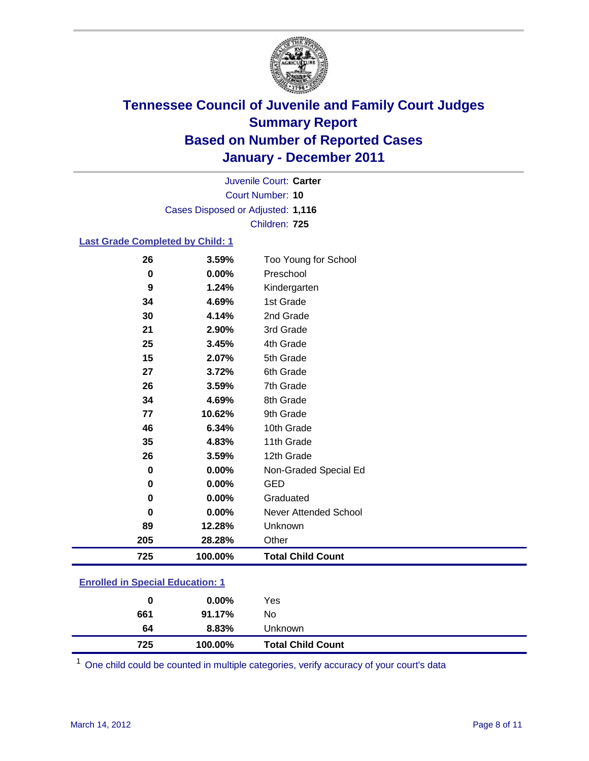

Court Number: **10** Juvenile Court: **Carter** Cases Disposed or Adjusted: **1,116** Children: **725**

#### **Last Grade Completed by Child: 1**

| 725      | 100.00% | <b>Total Child Count</b> |
|----------|---------|--------------------------|
| 205      | 28.28%  | Other                    |
| 89       | 12.28%  | Unknown                  |
| $\bf{0}$ | 0.00%   | Never Attended School    |
| 0        | 0.00%   | Graduated                |
| $\bf{0}$ | 0.00%   | <b>GED</b>               |
| 0        | 0.00%   | Non-Graded Special Ed    |
| 26       | 3.59%   | 12th Grade               |
| 35       | 4.83%   | 11th Grade               |
| 46       | 6.34%   | 10th Grade               |
| 77       | 10.62%  | 9th Grade                |
| 34       | 4.69%   | 8th Grade                |
| 26       | 3.59%   | 7th Grade                |
| 27       | 3.72%   | 6th Grade                |
| 15       | 2.07%   | 5th Grade                |
| 25       | 3.45%   | 4th Grade                |
| 21       | 2.90%   | 3rd Grade                |
| 30       | 4.14%   | 2nd Grade                |
| 34       | 4.69%   | 1st Grade                |
| 9        | 1.24%   | Kindergarten             |
| $\bf{0}$ | 0.00%   | Preschool                |
| 26       | 3.59%   | Too Young for School     |

### **Enrolled in Special Education: 1**

| 0   | $0.00\%$ | Yes                      |
|-----|----------|--------------------------|
| 661 | 91.17%   | No                       |
| 64  | 8.83%    | <b>Unknown</b>           |
| 725 | 100.00%  | <b>Total Child Count</b> |

One child could be counted in multiple categories, verify accuracy of your court's data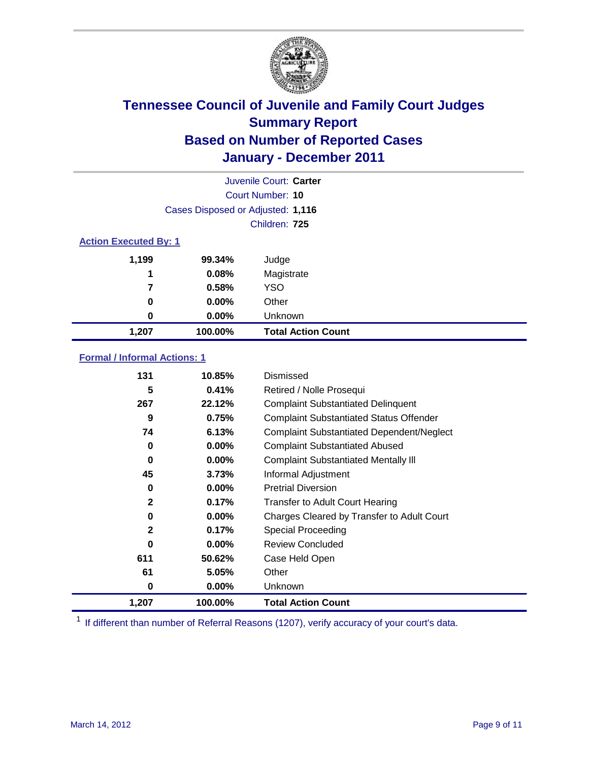

| Juvenile Court: Carter       |                                   |                           |  |  |  |
|------------------------------|-----------------------------------|---------------------------|--|--|--|
|                              | Court Number: 10                  |                           |  |  |  |
|                              | Cases Disposed or Adjusted: 1,116 |                           |  |  |  |
|                              |                                   | Children: 725             |  |  |  |
| <b>Action Executed By: 1</b> |                                   |                           |  |  |  |
| 1,199                        | 99.34%                            | Judge                     |  |  |  |
| 1                            | 0.08%                             | Magistrate                |  |  |  |
| 7                            | 0.58%                             | <b>YSO</b>                |  |  |  |
| 0                            | $0.00\%$                          | Other                     |  |  |  |
| 0                            | 0.00%                             | Unknown                   |  |  |  |
| 1,207                        | 100.00%                           | <b>Total Action Count</b> |  |  |  |

### **Formal / Informal Actions: 1**

| 131          | 10.85%   | Dismissed                                        |
|--------------|----------|--------------------------------------------------|
| 5            | 0.41%    | Retired / Nolle Prosequi                         |
| 267          | 22.12%   | <b>Complaint Substantiated Delinquent</b>        |
| 9            | 0.75%    | <b>Complaint Substantiated Status Offender</b>   |
| 74           | 6.13%    | <b>Complaint Substantiated Dependent/Neglect</b> |
| 0            | $0.00\%$ | <b>Complaint Substantiated Abused</b>            |
| $\bf{0}$     | $0.00\%$ | <b>Complaint Substantiated Mentally III</b>      |
| 45           | 3.73%    | Informal Adjustment                              |
| 0            | $0.00\%$ | <b>Pretrial Diversion</b>                        |
| $\mathbf{2}$ | 0.17%    | <b>Transfer to Adult Court Hearing</b>           |
| 0            | $0.00\%$ | Charges Cleared by Transfer to Adult Court       |
| $\mathbf{2}$ | 0.17%    | Special Proceeding                               |
| 0            | $0.00\%$ | <b>Review Concluded</b>                          |
| 611          | 50.62%   | Case Held Open                                   |
| 61           | 5.05%    | Other                                            |
| 0            | $0.00\%$ | <b>Unknown</b>                                   |
| 1,207        | 100.00%  | <b>Total Action Count</b>                        |

<sup>1</sup> If different than number of Referral Reasons (1207), verify accuracy of your court's data.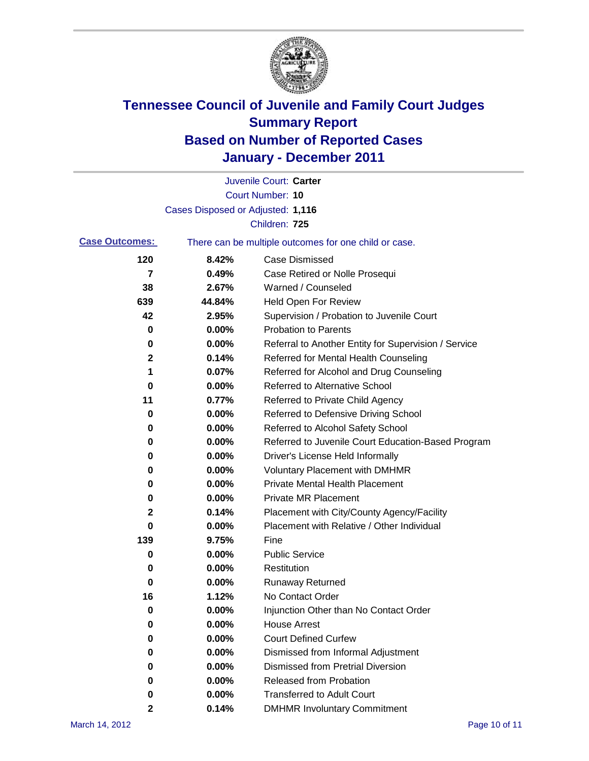

|                       |                                   | Juvenile Court: Carter                                |
|-----------------------|-----------------------------------|-------------------------------------------------------|
|                       |                                   | Court Number: 10                                      |
|                       | Cases Disposed or Adjusted: 1,116 |                                                       |
|                       |                                   | Children: 725                                         |
| <b>Case Outcomes:</b> |                                   | There can be multiple outcomes for one child or case. |
| 120                   | 8.42%                             | <b>Case Dismissed</b>                                 |
| 7                     | 0.49%                             | Case Retired or Nolle Prosequi                        |
| 38                    | 2.67%                             | Warned / Counseled                                    |
| 639                   | 44.84%                            | Held Open For Review                                  |
| 42                    | 2.95%                             | Supervision / Probation to Juvenile Court             |
| 0                     | 0.00%                             | <b>Probation to Parents</b>                           |
| 0                     | 0.00%                             | Referral to Another Entity for Supervision / Service  |
| 2                     | 0.14%                             | Referred for Mental Health Counseling                 |
| 1                     | 0.07%                             | Referred for Alcohol and Drug Counseling              |
| 0                     | 0.00%                             | <b>Referred to Alternative School</b>                 |
| 11                    | 0.77%                             | Referred to Private Child Agency                      |
| 0                     | 0.00%                             | Referred to Defensive Driving School                  |
| 0                     | 0.00%                             | Referred to Alcohol Safety School                     |
| 0                     | 0.00%                             | Referred to Juvenile Court Education-Based Program    |
| 0                     | 0.00%                             | Driver's License Held Informally                      |
| 0                     | 0.00%                             | <b>Voluntary Placement with DMHMR</b>                 |
| 0                     | 0.00%                             | <b>Private Mental Health Placement</b>                |
| 0                     | 0.00%                             | <b>Private MR Placement</b>                           |
| 2                     | 0.14%                             | Placement with City/County Agency/Facility            |
| 0                     | 0.00%                             | Placement with Relative / Other Individual            |
| 139                   | 9.75%                             | Fine                                                  |
| 0                     | 0.00%                             | <b>Public Service</b>                                 |
| 0                     | 0.00%                             | Restitution                                           |
| 0                     | 0.00%                             | <b>Runaway Returned</b>                               |
| 16                    | 1.12%                             | No Contact Order                                      |
| 0                     | 0.00%                             | Injunction Other than No Contact Order                |
| 0                     | 0.00%                             | <b>House Arrest</b>                                   |
| 0                     | 0.00%                             | <b>Court Defined Curfew</b>                           |
| 0                     | 0.00%                             | Dismissed from Informal Adjustment                    |
| 0                     | 0.00%                             | <b>Dismissed from Pretrial Diversion</b>              |
| 0                     | 0.00%                             | Released from Probation                               |
| 0                     | 0.00%                             | <b>Transferred to Adult Court</b>                     |
| 2                     | 0.14%                             | <b>DMHMR Involuntary Commitment</b>                   |